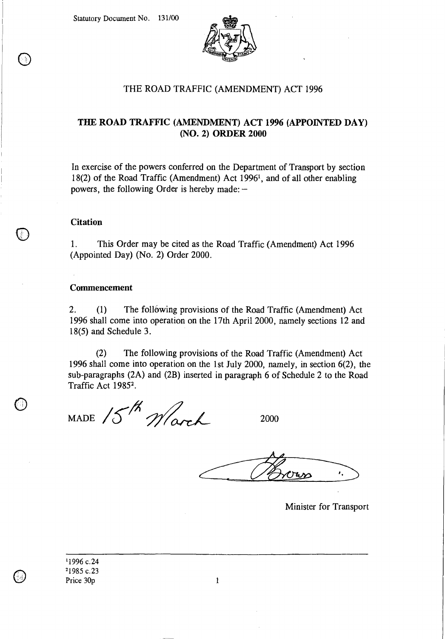Statutory Document No. 131/00



## THE ROAD TRAFFIC (AMENDMENT) ACT 1996

## **THE ROAD TRAFFIC (AMENDMENT) ACT 1996 (APPOINTED DAY) (NO. 2) ORDER 2000**

In exercise of the powers conferred on the Department of Transport by section 18(2) of the Road Traffic (Amendment) Act 1996<sup>1</sup>, and of all other enabling powers, the following Order is hereby made: —

### **Citation**

 $\bigcirc$ 

1. This Order may be cited as the Road Traffic (Amendment) Act 1996 (Appointed Day) (No. 2) Order 2000.

#### Commencement

2. (1) The following provisions of the Road Traffic (Amendment) Act 1996 shall come into operation on the 17th April 2000, namely sections 12 and 18(5) and Schedule 3.

(2) The following provisions of the Road Traffic (Amendment) Act 1996 shall come into operation on the 1st July 2000, namely, in section 6(2), the sub-paragraphs (2A) and (2B) inserted in paragraph 6 of Schedule 2 to the Road Traffic Act 1985<sup>2</sup>.

MADE 15th Wark

2000

Minister for Transport

'1996 c.24 <sup>2</sup>1985 c.23 Price 30p 1